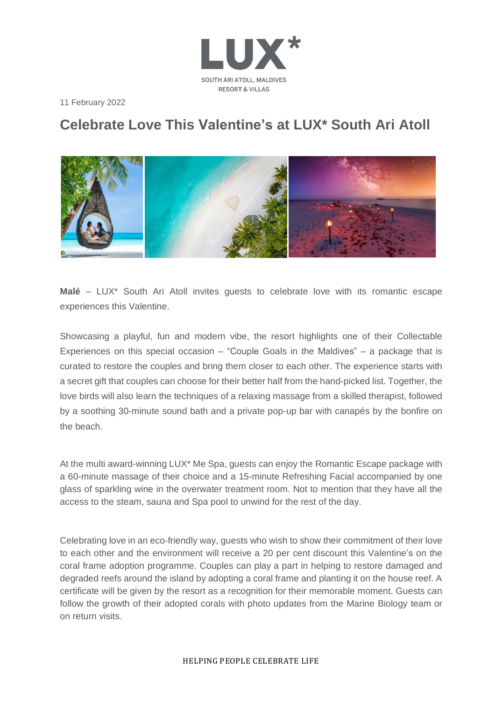

11 February 2022

## **Celebrate Love This Valentine's at LUX\* South Ari Atoll**



**Malé** – LUX\* South Ari Atoll invites guests to celebrate love with its romantic escape experiences this Valentine.

Showcasing a playful, fun and modern vibe, the resort highlights one of their Collectable Experiences on this special occasion – "Couple Goals in the Maldives" – a package that is curated to restore the couples and bring them closer to each other. The experience starts with a secret gift that couples can choose for their better half from the hand-picked list. Together, the love birds will also learn the techniques of a relaxing massage from a skilled therapist, followed by a soothing 30-minute sound bath and a private pop-up bar with canapés by the bonfire on the beach.

At the multi award-winning LUX\* Me Spa, guests can enjoy the Romantic Escape package with a 60-minute massage of their choice and a 15-minute Refreshing Facial accompanied by one glass of sparkling wine in the overwater treatment room. Not to mention that they have all the access to the steam, sauna and Spa pool to unwind for the rest of the day.

Celebrating love in an eco-friendly way, guests who wish to show their commitment of their love to each other and the environment will receive a 20 per cent discount this Valentine's on the coral frame adoption programme. Couples can play a part in helping to restore damaged and degraded reefs around the island by adopting a coral frame and planting it on the house reef. A certificate will be given by the resort as a recognition for their memorable moment. Guests can follow the growth of their adopted corals with photo updates from the Marine Biology team or on return visits.